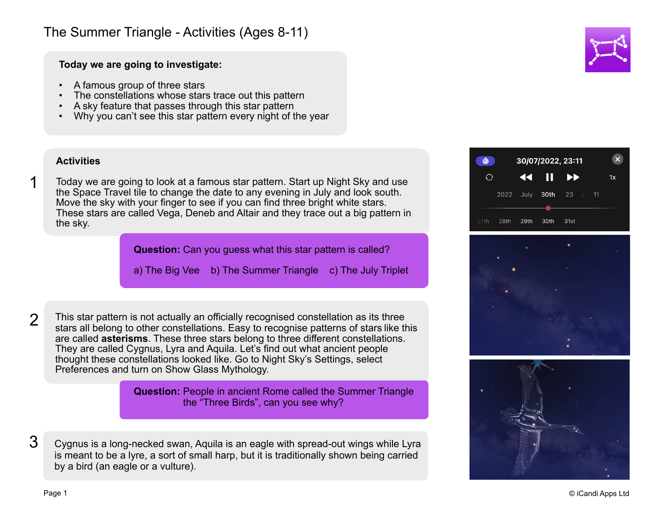## The Summer Triangle - Activities (Ages 8-11)

**Today we are going to investigate:**

- A famous group of three stars
- The constellations whose stars trace out this pattern
- A sky feature that passes through this star pattern
- Why you can't see this star pattern every night of the year

## **Activities**

Today we are going to look at a famous star pattern. Start up Night Sky and use the Space Travel tile to change the date to any evening in July and look south. Move the sky with your finger to see if you can find three bright white stars. These stars are called Vega, Deneb and Altair and they trace out a big pattern in the sky.

**Question:** Can you guess what this star pattern is called?

a) The Big Vee b) The Summer Triangle c) The July Triplet

 $\mathcal{P}$ 

1

This star pattern is not actually an officially recognised constellation as its three stars all belong to other constellations. Easy to recognise patterns of stars like this are called **asterisms**. These three stars belong to three different constellations. They are called Cygnus, Lyra and Aquila. Let's find out what ancient people thought these constellations looked like. Go to Night Sky's Settings, select Preferences and turn on Show Glass Mythology.

> **Question:** People in ancient Rome called the Summer Triangle the "Three Birds", can you see why?

Cygnus is a long-necked swan, Aquila is an eagle with spread-out wings while Lyra is meant to be a lyre, a sort of small harp, but it is traditionally shown being carried by a bird (an eagle or a vulture). 3